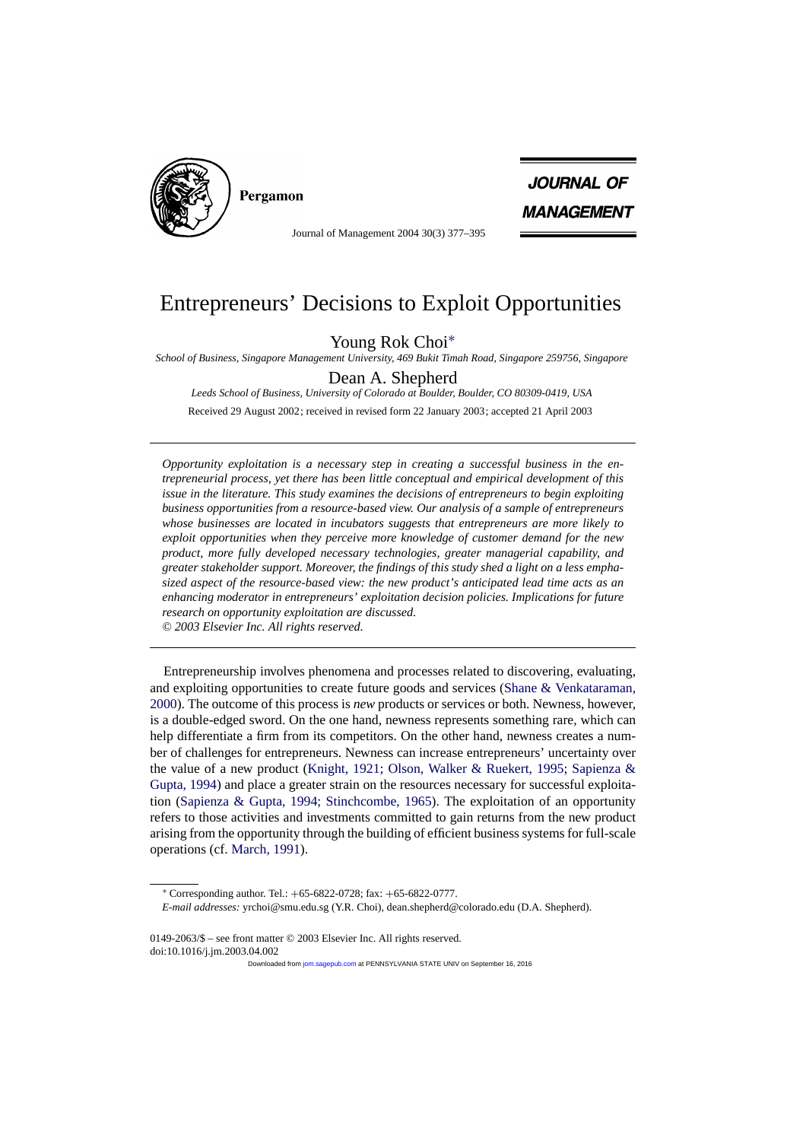

Pergamon

**JOURNAL OF** MANAGEMENT

Journal of Management 2004 30(3) 377–395

# Entrepreneurs' Decisions to Exploit Opportunities

# Young Rok Choi∗

*School of Business, Singapore Management University, 469 Bukit Timah Road, Singapore 259756, Singapore*

# Dean A. Shepherd

*Leeds School of Business, University of Colorado at Boulder, Boulder, CO 80309-0419, USA* Received 29 August 2002; received in revised form 22 January 2003; accepted 21 April 2003

*Opportunity exploitation is a necessary step in creating a successful business in the entrepreneurial process, yet there has been little conceptual and empirical development of this issue in the literature. This study examines the decisions of entrepreneurs to begin exploiting business opportunities from a resource-based view. Our analysis of a sample of entrepreneurs whose businesses are located in incubators suggests that entrepreneurs are more likely to exploit opportunities when they perceive more knowledge of customer demand for the new product, more fully developed necessary technologies, greater managerial capability, and greater stakeholder support. Moreover, the findings of this study shed a light on a less emphasized aspect of the resource-based view: the new product's anticipated lead time acts as an enhancing moderator in entrepreneurs' exploitation decision policies. Implications for future research on opportunity exploitation are discussed. © 2003 Elsevier Inc. All rights reserved.*

Entrepreneurship involves phenomena and processes related to discovering, evaluating, and exploiting opportunities to create future goods and services [\(Shane & Venkataraman,](#page-18-0) [2000\).](#page-18-0) The outcome of this process is *new* products or services or both. Newness, however, is a double-edged sword. On the one hand, newness represents something rare, which can help differentiate a firm from its competitors. On the other hand, newness creates a number of challenges for entrepreneurs. Newness can increase entrepreneurs' uncertainty over the value of a new product [\(Knight, 1921;](#page-17-0) [Olson, Walker & Ruekert, 1995;](#page-17-0) [Sapienza &](#page-18-0) [Gupta, 1994\)](#page-18-0) and place a greater strain on the resources necessary for successful exploitation [\(Sapienza & Gupta, 1994; Stinchcombe, 1965](#page-18-0)). The exploitation of an opportunity refers to those activities and investments committed to gain returns from the new product arising from the opportunity through the building of efficient business systems for full-scale operations (cf. [March, 1991\).](#page-17-0)

<sup>∗</sup> Corresponding author. Tel.: +65-6822-0728; fax: +65-6822-0777.

*E-mail addresses:* yrchoi@smu.edu.sg (Y.R. Choi), dean.shepherd@colorado.edu (D.A. Shepherd).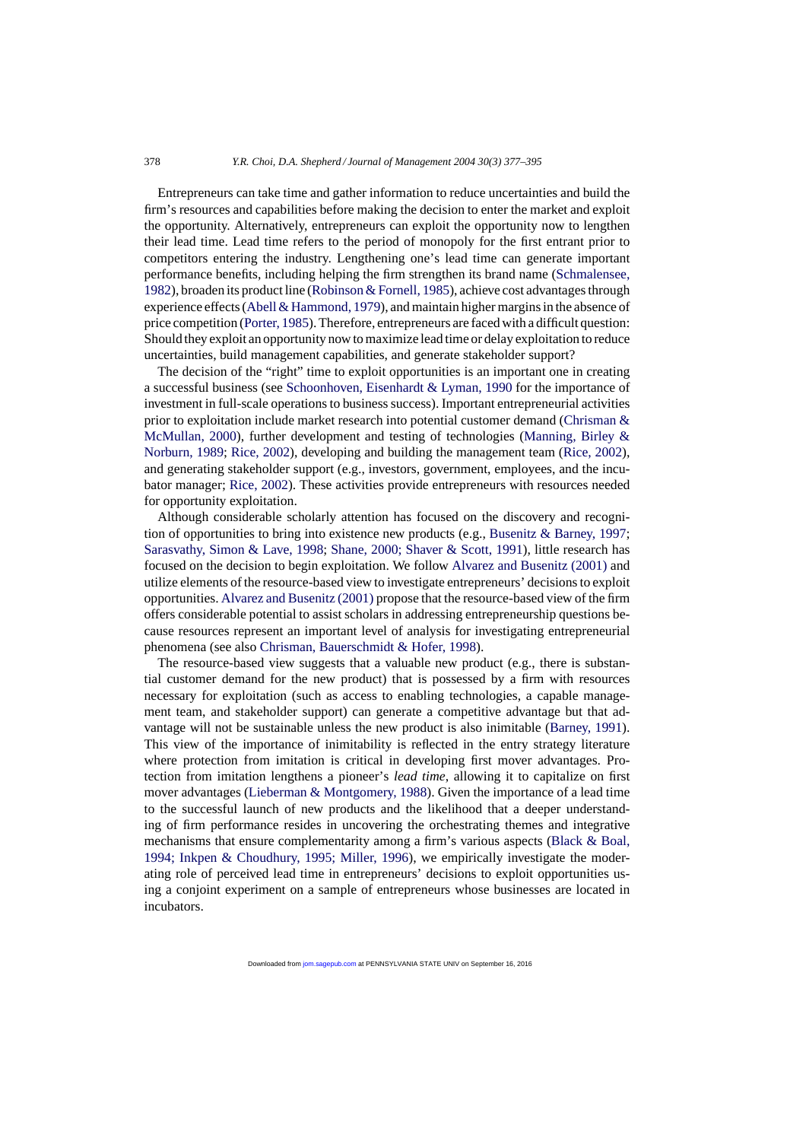Entrepreneurs can take time and gather information to reduce uncertainties and build the firm's resources and capabilities before making the decision to enter the market and exploit the opportunity. Alternatively, entrepreneurs can exploit the opportunity now to lengthen their lead time. Lead time refers to the period of monopoly for the first entrant prior to competitors entering the industry. Lengthening one's lead time can generate important performance benefits, including helping the firm strengthen its brand name ([Schmalensee,](#page-18-0) [1982\),](#page-18-0) broaden its product line [\(Robinson & Fornell, 1985\), a](#page-17-0)chieve cost advantages through experience effects [\(Abell & Hammond, 1979\), a](#page-15-0)nd maintain higher margins in the absence of price competition [\(Porter, 1985\).](#page-17-0) Therefore, entrepreneurs are faced with a difficult question: Should they exploit an opportunity now to maximize lead time or delay exploitation to reduce uncertainties, build management capabilities, and generate stakeholder support?

The decision of the "right" time to exploit opportunities is an important one in creating a successful business (see [Schoonhoven, Eisenhardt & Lyman, 1990](#page-18-0) for the importance of investment in full-scale operations to business success). Important entrepreneurial activities prior to exploitation include market research into potential customer demand [\(Chrisman &](#page-16-0) [McMullan, 2000\),](#page-16-0) further development and testing of technologies ([Manning, Birley &](#page-17-0) [Norburn, 1989;](#page-17-0) [Rice, 2002\),](#page-17-0) developing and building the management team ([Rice, 2002\),](#page-17-0) and generating stakeholder support (e.g., investors, government, employees, and the incubator manager; [Rice, 2002\).](#page-17-0) These activities provide entrepreneurs with resources needed for opportunity exploitation.

Although considerable scholarly attention has focused on the discovery and recognition of opportunities to bring into existence new products (e.g., [Busenitz & Barney, 1997;](#page-16-0) [Sarasvathy, Simon & Lave, 1998;](#page-18-0) [Shane, 2000; Shaver & Scott, 1991\)](#page-18-0), little research has focused on the decision to begin exploitation. We follow [Alvarez and Busenitz \(2001\)](#page-15-0) and utilize elements of the resource-based view to investigate entrepreneurs' decisions to exploit opportunities. [Alvarez and Busenitz \(2001\)](#page-15-0) propose that the resource-based view of the firm offers considerable potential to assist scholars in addressing entrepreneurship questions because resources represent an important level of analysis for investigating entrepreneurial phenomena (see also [Chrisman, Bauerschmidt & Hofer, 1998\).](#page-16-0)

The resource-based view suggests that a valuable new product (e.g., there is substantial customer demand for the new product) that is possessed by a firm with resources necessary for exploitation (such as access to enabling technologies, a capable management team, and stakeholder support) can generate a competitive advantage but that advantage will not be sustainable unless the new product is also inimitable ([Barney, 1991\).](#page-15-0) This view of the importance of inimitability is reflected in the entry strategy literature where protection from imitation is critical in developing first mover advantages. Protection from imitation lengthens a pioneer's *lead time*, allowing it to capitalize on first mover advantages ([Lieberman & Montgomery, 1988\).](#page-17-0) Given the importance of a lead time to the successful launch of new products and the likelihood that a deeper understanding of firm performance resides in uncovering the orchestrating themes and integrative mechanisms that ensure complementarity among a firm's various aspects ([Black & Boal,](#page-15-0) [1994; Inkpen & Choudhury, 1995; Miller, 1996](#page-15-0)), we empirically investigate the moderating role of perceived lead time in entrepreneurs' decisions to exploit opportunities using a conjoint experiment on a sample of entrepreneurs whose businesses are located in incubators.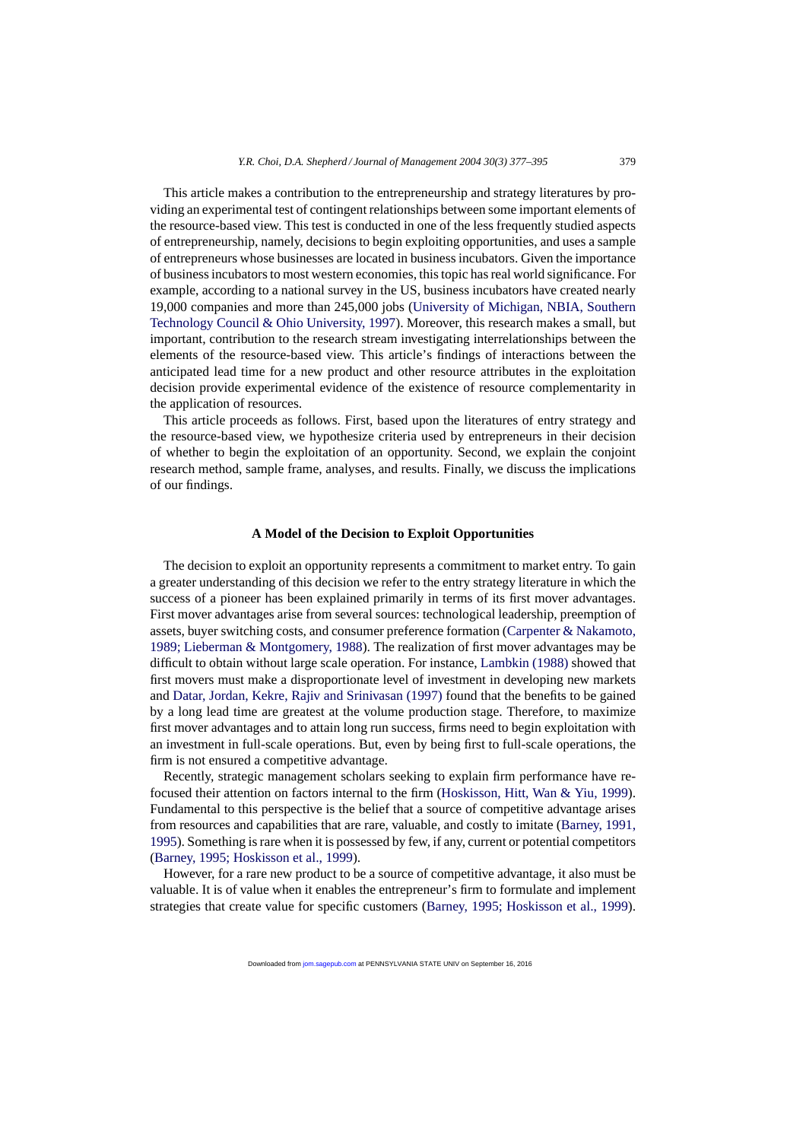This article makes a contribution to the entrepreneurship and strategy literatures by providing an experimental test of contingent relationships between some important elements of the resource-based view. This test is conducted in one of the less frequently studied aspects of entrepreneurship, namely, decisions to begin exploiting opportunities, and uses a sample of entrepreneurs whose businesses are located in business incubators. Given the importance of business incubators to most western economies, this topic has real world significance. For example, according to a national survey in the US, business incubators have created nearly 19,000 companies and more than 245,000 jobs ([University of Michigan, NBIA, Southern](#page-18-0) [Technology Council & Ohio University, 1997\).](#page-18-0) Moreover, this research makes a small, but important, contribution to the research stream investigating interrelationships between the elements of the resource-based view. This article's findings of interactions between the anticipated lead time for a new product and other resource attributes in the exploitation decision provide experimental evidence of the existence of resource complementarity in the application of resources.

This article proceeds as follows. First, based upon the literatures of entry strategy and the resource-based view, we hypothesize criteria used by entrepreneurs in their decision of whether to begin the exploitation of an opportunity. Second, we explain the conjoint research method, sample frame, analyses, and results. Finally, we discuss the implications of our findings.

#### **A Model of the Decision to Exploit Opportunities**

The decision to exploit an opportunity represents a commitment to market entry. To gain a greater understanding of this decision we refer to the entry strategy literature in which the success of a pioneer has been explained primarily in terms of its first mover advantages. First mover advantages arise from several sources: technological leadership, preemption of assets, buyer switching costs, and consumer preference formation [\(Carpenter & Nakamoto,](#page-16-0) [1989; Lieberman & Montgomery, 1988\).](#page-16-0) The realization of first mover advantages may be difficult to obtain without large scale operation. For instance, [Lambkin \(1988\)](#page-17-0) showed that first movers must make a disproportionate level of investment in developing new markets and [Datar, Jordan, Kekre, Rajiv and Srinivasan \(1997\)](#page-16-0) found that the benefits to be gained by a long lead time are greatest at the volume production stage. Therefore, to maximize first mover advantages and to attain long run success, firms need to begin exploitation with an investment in full-scale operations. But, even by being first to full-scale operations, the firm is not ensured a competitive advantage.

Recently, strategic management scholars seeking to explain firm performance have refocused their attention on factors internal to the firm ([Hoskisson, Hitt, Wan & Yiu, 1999\).](#page-16-0) Fundamental to this perspective is the belief that a source of competitive advantage arises from resources and capabilities that are rare, valuable, and costly to imitate [\(Barney, 1991,](#page-15-0) [1995\).](#page-15-0) Something is rare when it is possessed by few, if any, current or potential competitors [\(Barney, 1995; Hoskisson et al., 1999\).](#page-15-0)

However, for a rare new product to be a source of competitive advantage, it also must be valuable. It is of value when it enables the entrepreneur's firm to formulate and implement strategies that create value for specific customers ([Barney, 1995; Hoskisson et al., 1999\)](#page-15-0).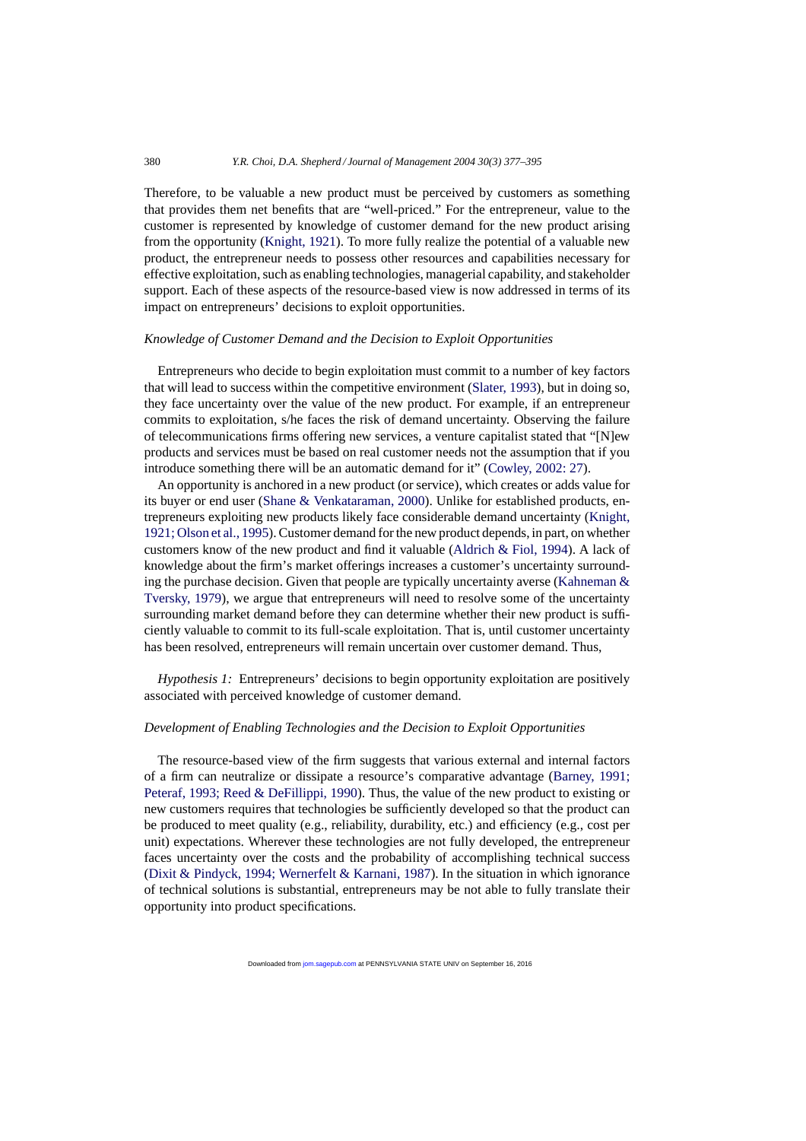<span id="page-3-0"></span>Therefore, to be valuable a new product must be perceived by customers as something that provides them net benefits that are "well-priced." For the entrepreneur, value to the customer is represented by knowledge of customer demand for the new product arising from the opportunity [\(Knight, 1921\).](#page-17-0) To more fully realize the potential of a valuable new product, the entrepreneur needs to possess other resources and capabilities necessary for effective exploitation, such as enabling technologies, managerial capability, and stakeholder support. Each of these aspects of the resource-based view is now addressed in terms of its impact on entrepreneurs' decisions to exploit opportunities.

#### *Knowledge of Customer Demand and the Decision to Exploit Opportunities*

Entrepreneurs who decide to begin exploitation must commit to a number of key factors that will lead to success within the competitive environment ([Slater, 1993\),](#page-18-0) but in doing so, they face uncertainty over the value of the new product. For example, if an entrepreneur commits to exploitation, s/he faces the risk of demand uncertainty. Observing the failure of telecommunications firms offering new services, a venture capitalist stated that "[N]ew products and services must be based on real customer needs not the assumption that if you introduce something there will be an automatic demand for it" [\(Cowley, 2002: 27\).](#page-16-0)

An opportunity is anchored in a new product (or service), which creates or adds value for its buyer or end user [\(Shane & Venkataraman, 2000\).](#page-18-0) Unlike for established products, entrepreneurs exploiting new products likely face considerable demand uncertainty ([Knight,](#page-17-0) [1921; Olson et al., 1995\). C](#page-17-0)ustomer demand for the new product depends, in part, on whether customers know of the new product and find it valuable ([Aldrich & Fiol, 1994\).](#page-15-0) A lack of knowledge about the firm's market offerings increases a customer's uncertainty surrounding the purchase decision. Given that people are typically uncertainty averse (Kahneman  $\&$ [Tversky, 1979\),](#page-17-0) we argue that entrepreneurs will need to resolve some of the uncertainty surrounding market demand before they can determine whether their new product is sufficiently valuable to commit to its full-scale exploitation. That is, until customer uncertainty has been resolved, entrepreneurs will remain uncertain over customer demand. Thus,

*Hypothesis 1:* Entrepreneurs' decisions to begin opportunity exploitation are positively associated with perceived knowledge of customer demand.

## *Development of Enabling Technologies and the Decision to Exploit Opportunities*

The resource-based view of the firm suggests that various external and internal factors of a firm can neutralize or dissipate a resource's comparative advantage [\(Barney, 1991;](#page-15-0) [Peteraf, 1993; Reed & DeFillippi, 1990\).](#page-15-0) Thus, the value of the new product to existing or new customers requires that technologies be sufficiently developed so that the product can be produced to meet quality (e.g., reliability, durability, etc.) and efficiency (e.g., cost per unit) expectations. Wherever these technologies are not fully developed, the entrepreneur faces uncertainty over the costs and the probability of accomplishing technical success ([Dixit & Pindyck, 1994; Wernerfelt & Karnani, 1987\).](#page-16-0) In the situation in which ignorance of technical solutions is substantial, entrepreneurs may be not able to fully translate their opportunity into product specifications.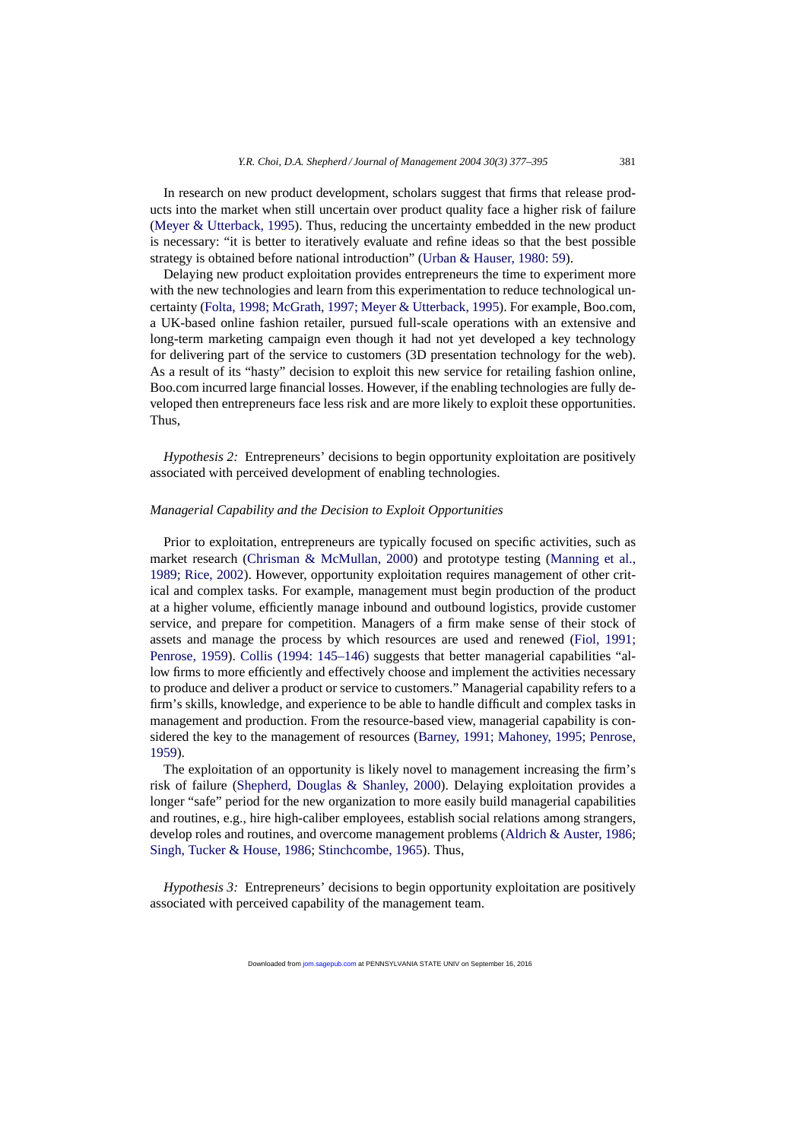In research on new product development, scholars suggest that firms that release products into the market when still uncertain over product quality face a higher risk of failure [\(Meyer & Utterback, 1995\).](#page-17-0) Thus, reducing the uncertainty embedded in the new product is necessary: "it is better to iteratively evaluate and refine ideas so that the best possible strategy is obtained before national introduction" [\(Urban & Hauser, 1980: 59\).](#page-18-0)

Delaying new product exploitation provides entrepreneurs the time to experiment more with the new technologies and learn from this experimentation to reduce technological uncertainty [\(Folta, 1998; McGrath, 1997; Meyer & Utterback, 1995\).](#page-16-0) For example, Boo.com, a UK-based online fashion retailer, pursued full-scale operations with an extensive and long-term marketing campaign even though it had not yet developed a key technology for delivering part of the service to customers (3D presentation technology for the web). As a result of its "hasty" decision to exploit this new service for retailing fashion online, Boo.com incurred large financial losses. However, if the enabling technologies are fully developed then entrepreneurs face less risk and are more likely to exploit these opportunities. Thus,

*Hypothesis 2:* Entrepreneurs' decisions to begin opportunity exploitation are positively associated with perceived development of enabling technologies.

#### *Managerial Capability and the Decision to Exploit Opportunities*

Prior to exploitation, entrepreneurs are typically focused on specific activities, such as market research ([Chrisman & McMullan, 2000\)](#page-16-0) and prototype testing [\(Manning et al.,](#page-17-0) [1989; Rice, 2002\).](#page-17-0) However, opportunity exploitation requires management of other critical and complex tasks. For example, management must begin production of the product at a higher volume, efficiently manage inbound and outbound logistics, provide customer service, and prepare for competition. Managers of a firm make sense of their stock of assets and manage the process by which resources are used and renewed [\(Fiol, 1991;](#page-16-0) [Penrose, 1959\).](#page-16-0) [Collis \(1994: 145–146\)](#page-16-0) suggests that better managerial capabilities "allow firms to more efficiently and effectively choose and implement the activities necessary to produce and deliver a product or service to customers." Managerial capability refers to a firm's skills, knowledge, and experience to be able to handle difficult and complex tasks in management and production. From the resource-based view, managerial capability is considered the key to the management of resources ([Barney, 1991; Mahoney, 1995; Penrose,](#page-15-0) [1959\).](#page-15-0)

The exploitation of an opportunity is likely novel to management increasing the firm's risk of failure ([Shepherd, Douglas & Shanley, 2000](#page-18-0)). Delaying exploitation provides a longer "safe" period for the new organization to more easily build managerial capabilities and routines, e.g., hire high-caliber employees, establish social relations among strangers, develop roles and routines, and overcome management problems [\(Aldrich & Auster, 1986;](#page-15-0) [Singh, Tucker & House, 1986;](#page-18-0) [Stinchcombe, 1965\).](#page-18-0) Thus,

*Hypothesis 3:* Entrepreneurs' decisions to begin opportunity exploitation are positively associated with perceived capability of the management team.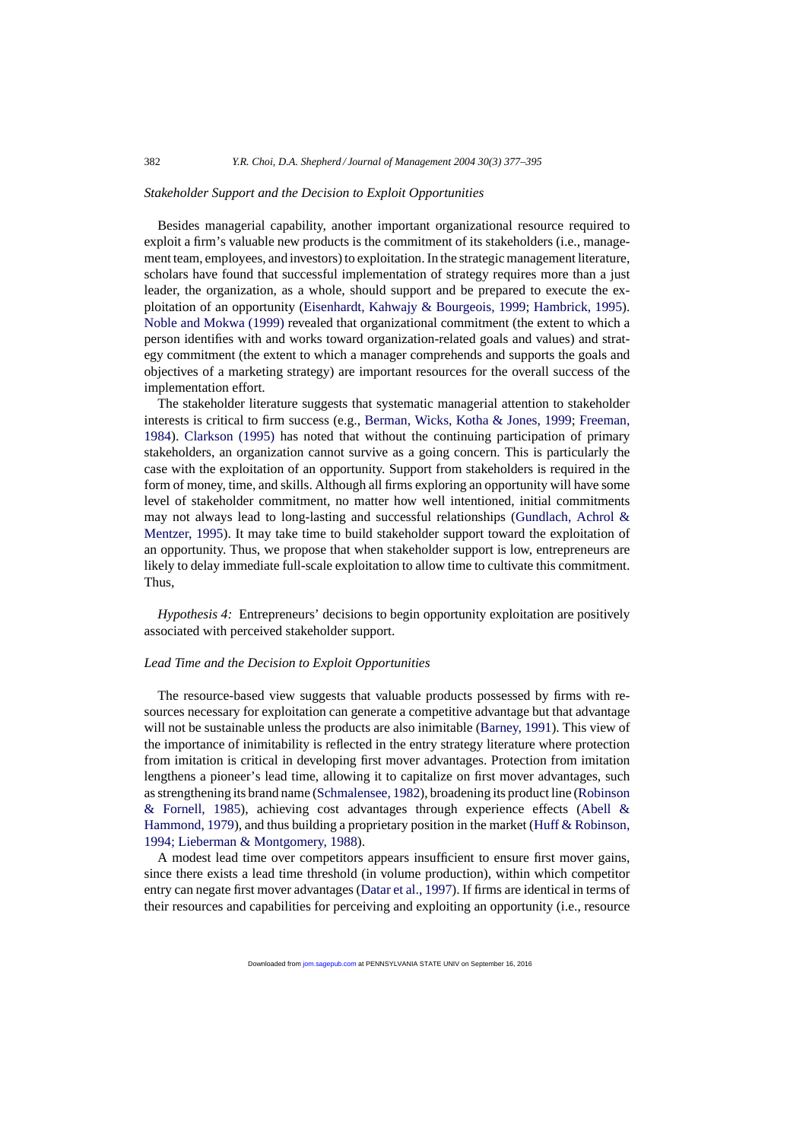# *Stakeholder Support and the Decision to Exploit Opportunities*

Besides managerial capability, another important organizational resource required to exploit a firm's valuable new products is the commitment of its stakeholders (i.e., management team, employees, and investors) to exploitation. In the strategic management literature, scholars have found that successful implementation of strategy requires more than a just leader, the organization, as a whole, should support and be prepared to execute the exploitation of an opportunity [\(Eisenhardt, Kahwajy & Bourgeois, 1999;](#page-16-0) [Hambrick, 1995\).](#page-16-0) [Noble and Mokwa \(1999\)](#page-17-0) revealed that organizational commitment (the extent to which a person identifies with and works toward organization-related goals and values) and strategy commitment (the extent to which a manager comprehends and supports the goals and objectives of a marketing strategy) are important resources for the overall success of the implementation effort.

The stakeholder literature suggests that systematic managerial attention to stakeholder interests is critical to firm success (e.g., [Berman, Wicks, Kotha & Jones, 1999;](#page-15-0) [Freeman,](#page-16-0) [1984\).](#page-16-0) [Clarkson \(1995\)](#page-16-0) has noted that without the continuing participation of primary stakeholders, an organization cannot survive as a going concern. This is particularly the case with the exploitation of an opportunity. Support from stakeholders is required in the form of money, time, and skills. Although all firms exploring an opportunity will have some level of stakeholder commitment, no matter how well intentioned, initial commitments may not always lead to long-lasting and successful relationships ([Gundlach, Achrol &](#page-16-0) [Mentzer, 1995\).](#page-16-0) It may take time to build stakeholder support toward the exploitation of an opportunity. Thus, we propose that when stakeholder support is low, entrepreneurs are likely to delay immediate full-scale exploitation to allow time to cultivate this commitment. Thus,

*Hypothesis 4:* Entrepreneurs' decisions to begin opportunity exploitation are positively associated with perceived stakeholder support.

# *Lead Time and the Decision to Exploit Opportunities*

The resource-based view suggests that valuable products possessed by firms with resources necessary for exploitation can generate a competitive advantage but that advantage will not be sustainable unless the products are also inimitable ([Barney, 1991\).](#page-15-0) This view of the importance of inimitability is reflected in the entry strategy literature where protection from imitation is critical in developing first mover advantages. Protection from imitation lengthens a pioneer's lead time, allowing it to capitalize on first mover advantages, such as strengthening its brand name [\(Schmalensee, 1982\),](#page-18-0) broadening its product line ([Robinson](#page-17-0) [& Fornell, 1985](#page-17-0)), achieving cost advantages through experience effects ([Abell &](#page-15-0) [Hammond, 1979\),](#page-15-0) and thus building a proprietary position in the market [\(Huff & Robinson,](#page-17-0) [1994; Lieberman & Montgomery, 1988\).](#page-17-0)

A modest lead time over competitors appears insufficient to ensure first mover gains, since there exists a lead time threshold (in volume production), within which competitor entry can negate first mover advantages [\(Datar et al., 1997\).](#page-16-0) If firms are identical in terms of their resources and capabilities for perceiving and exploiting an opportunity (i.e., resource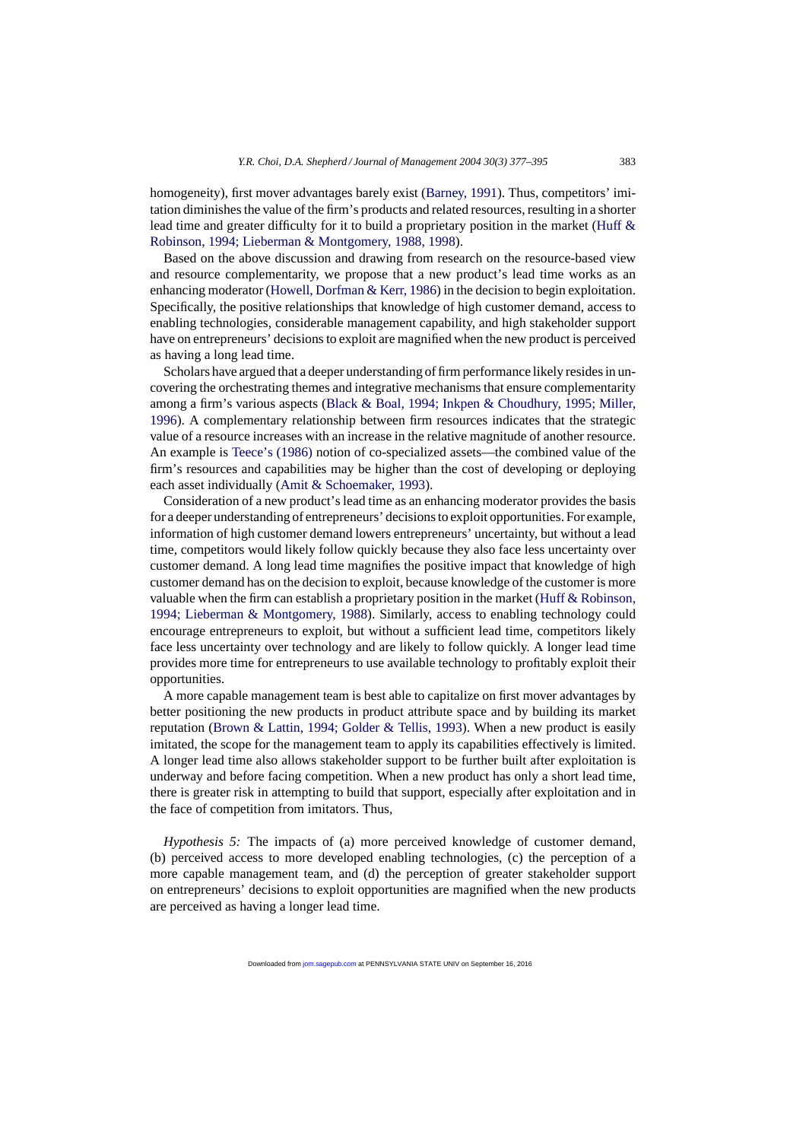<span id="page-6-0"></span>homogeneity), first mover advantages barely exist [\(Barney, 1991\).](#page-15-0) Thus, competitors' imitation diminishes the value of the firm's products and related resources, resulting in a shorter lead time and greater difficulty for it to build a proprietary position in the market [\(Huff &](#page-17-0) [Robinson, 1994; Lieberman & Montgomery, 1988, 1998\).](#page-17-0)

Based on the above discussion and drawing from research on the resource-based view and resource complementarity, we propose that a new product's lead time works as an enhancing moderator ([Howell, Dorfman & Kerr, 1986\) i](#page-17-0)n the decision to begin exploitation. Specifically, the positive relationships that knowledge of high customer demand, access to enabling technologies, considerable management capability, and high stakeholder support have on entrepreneurs' decisions to exploit are magnified when the new product is perceived as having a long lead time.

Scholars have argued that a deeper understanding of firm performance likely resides in uncovering the orchestrating themes and integrative mechanisms that ensure complementarity among a firm's various aspects ([Black & Boal, 1994; Inkpen & Choudhury, 1995; Miller,](#page-15-0) [1996\).](#page-15-0) A complementary relationship between firm resources indicates that the strategic value of a resource increases with an increase in the relative magnitude of another resource. An example is [Teece's \(1986\)](#page-18-0) notion of co-specialized assets—the combined value of the firm's resources and capabilities may be higher than the cost of developing or deploying each asset individually [\(Amit & Schoemaker, 1993\).](#page-15-0)

Consideration of a new product's lead time as an enhancing moderator provides the basis for a deeper understanding of entrepreneurs' decisions to exploit opportunities. For example, information of high customer demand lowers entrepreneurs' uncertainty, but without a lead time, competitors would likely follow quickly because they also face less uncertainty over customer demand. A long lead time magnifies the positive impact that knowledge of high customer demand has on the decision to exploit, because knowledge of the customer is more valuable when the firm can establish a proprietary position in the market [\(Huff & Robinson,](#page-17-0) [1994; Lieberman & Montgomery, 1988\)](#page-17-0). Similarly, access to enabling technology could encourage entrepreneurs to exploit, but without a sufficient lead time, competitors likely face less uncertainty over technology and are likely to follow quickly. A longer lead time provides more time for entrepreneurs to use available technology to profitably exploit their opportunities.

A more capable management team is best able to capitalize on first mover advantages by better positioning the new products in product attribute space and by building its market reputation [\(Brown & Lattin, 1994; Golder & Tellis, 1993\)](#page-15-0). When a new product is easily imitated, the scope for the management team to apply its capabilities effectively is limited. A longer lead time also allows stakeholder support to be further built after exploitation is underway and before facing competition. When a new product has only a short lead time, there is greater risk in attempting to build that support, especially after exploitation and in the face of competition from imitators. Thus,

*Hypothesis 5:* The impacts of (a) more perceived knowledge of customer demand, (b) perceived access to more developed enabling technologies, (c) the perception of a more capable management team, and (d) the perception of greater stakeholder support on entrepreneurs' decisions to exploit opportunities are magnified when the new products are perceived as having a longer lead time.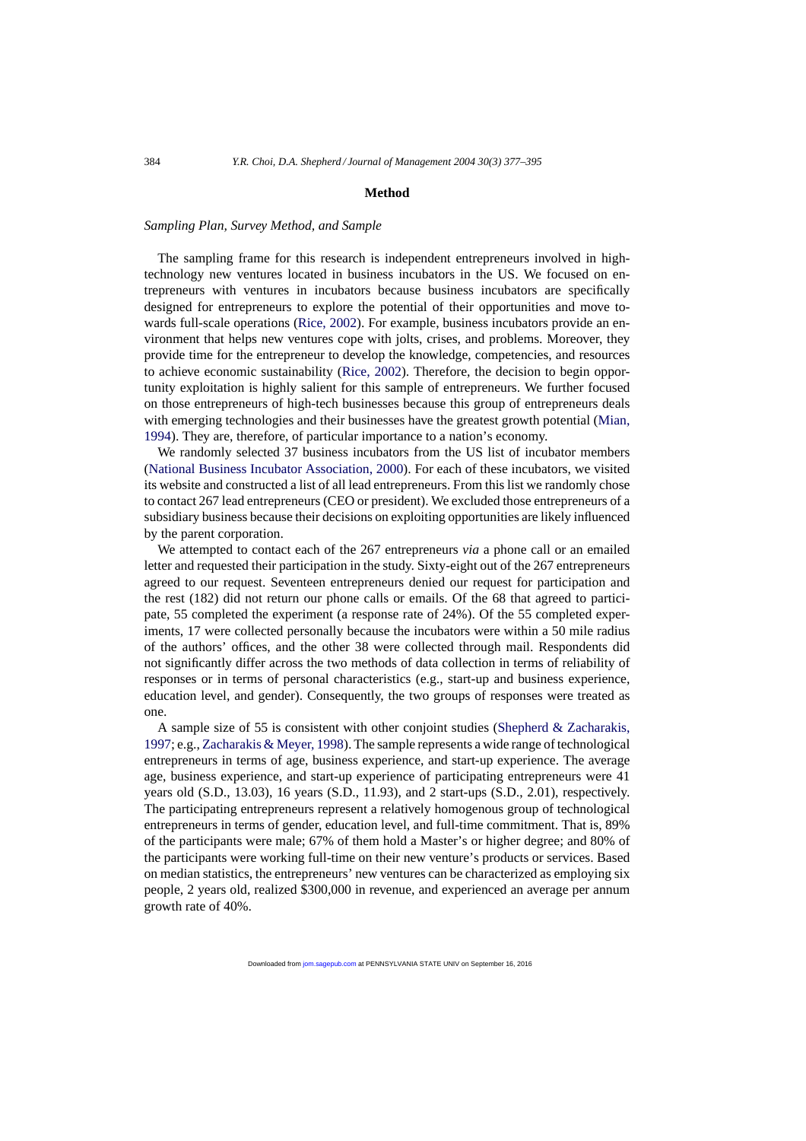# **Method**

#### *Sampling Plan, Survey Method, and Sample*

The sampling frame for this research is independent entrepreneurs involved in hightechnology new ventures located in business incubators in the US. We focused on entrepreneurs with ventures in incubators because business incubators are specifically designed for entrepreneurs to explore the potential of their opportunities and move towards full-scale operations [\(Rice, 2002\).](#page-17-0) For example, business incubators provide an environment that helps new ventures cope with jolts, crises, and problems. Moreover, they provide time for the entrepreneur to develop the knowledge, competencies, and resources to achieve economic sustainability [\(Rice, 2002\).](#page-17-0) Therefore, the decision to begin opportunity exploitation is highly salient for this sample of entrepreneurs. We further focused on those entrepreneurs of high-tech businesses because this group of entrepreneurs deals with emerging technologies and their businesses have the greatest growth potential ([Mian,](#page-17-0) [1994\).](#page-17-0) They are, therefore, of particular importance to a nation's economy.

We randomly selected 37 business incubators from the US list of incubator members ([National Business Incubator Association, 2000\).](#page-17-0) For each of these incubators, we visited its website and constructed a list of all lead entrepreneurs. From this list we randomly chose to contact 267 lead entrepreneurs (CEO or president). We excluded those entrepreneurs of a subsidiary business because their decisions on exploiting opportunities are likely influenced by the parent corporation.

We attempted to contact each of the 267 entrepreneurs *via* a phone call or an emailed letter and requested their participation in the study. Sixty-eight out of the 267 entrepreneurs agreed to our request. Seventeen entrepreneurs denied our request for participation and the rest (182) did not return our phone calls or emails. Of the 68 that agreed to participate, 55 completed the experiment (a response rate of 24%). Of the 55 completed experiments, 17 were collected personally because the incubators were within a 50 mile radius of the authors' offices, and the other 38 were collected through mail. Respondents did not significantly differ across the two methods of data collection in terms of reliability of responses or in terms of personal characteristics (e.g., start-up and business experience, education level, and gender). Consequently, the two groups of responses were treated as one.

A sample size of 55 is consistent with other conjoint studies [\(Shepherd & Zacharakis,](#page-18-0) [1997; e](#page-18-0).g., [Zacharakis & Meyer, 1998\).](#page-18-0) The sample represents a wide range of technological entrepreneurs in terms of age, business experience, and start-up experience. The average age, business experience, and start-up experience of participating entrepreneurs were 41 years old (S.D., 13.03), 16 years (S.D., 11.93), and 2 start-ups (S.D., 2.01), respectively. The participating entrepreneurs represent a relatively homogenous group of technological entrepreneurs in terms of gender, education level, and full-time commitment. That is, 89% of the participants were male; 67% of them hold a Master's or higher degree; and 80% of the participants were working full-time on their new venture's products or services. Based on median statistics, the entrepreneurs' new ventures can be characterized as employing six people, 2 years old, realized \$300,000 in revenue, and experienced an average per annum growth rate of 40%.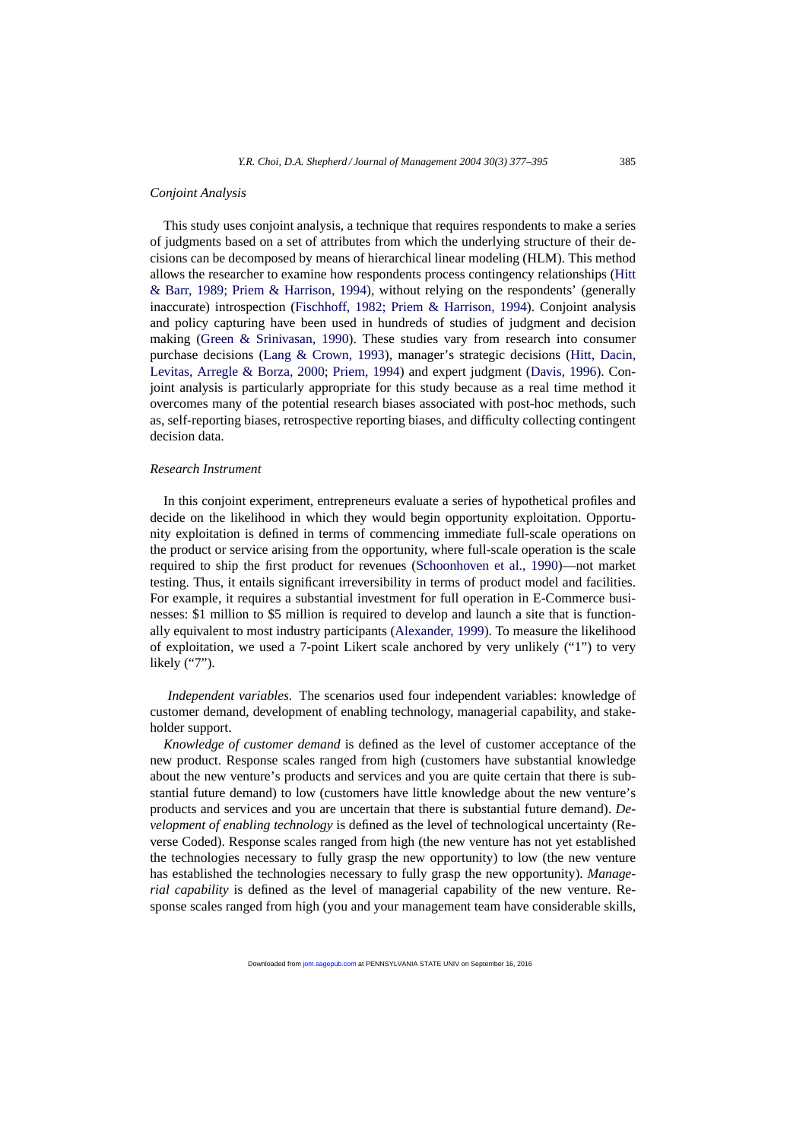#### *Conjoint Analysis*

This study uses conjoint analysis, a technique that requires respondents to make a series of judgments based on a set of attributes from which the underlying structure of their decisions can be decomposed by means of hierarchical linear modeling (HLM). This method allows the researcher to examine how respondents process contingency relationships ([Hitt](#page-16-0) [& Barr, 1989; Priem & Harrison, 1994](#page-16-0)), without relying on the respondents' (generally inaccurate) introspection ([Fischhoff, 1982; Priem & Harrison, 1994](#page-16-0)). Conjoint analysis and policy capturing have been used in hundreds of studies of judgment and decision making [\(Green & Srinivasan, 1990](#page-16-0)). These studies vary from research into consumer purchase decisions ([Lang & Crown, 1993\)](#page-17-0), manager's strategic decisions [\(Hitt, Dacin,](#page-16-0) [Levitas, Arregle & Borza, 2000;](#page-16-0) [Priem, 1994\)](#page-17-0) and expert judgment ([Davis, 1996\).](#page-16-0) Conjoint analysis is particularly appropriate for this study because as a real time method it overcomes many of the potential research biases associated with post-hoc methods, such as, self-reporting biases, retrospective reporting biases, and difficulty collecting contingent decision data.

# *Research Instrument*

In this conjoint experiment, entrepreneurs evaluate a series of hypothetical profiles and decide on the likelihood in which they would begin opportunity exploitation. Opportunity exploitation is defined in terms of commencing immediate full-scale operations on the product or service arising from the opportunity, where full-scale operation is the scale required to ship the first product for revenues [\(Schoonhoven et al., 1990\)](#page-18-0)—not market testing. Thus, it entails significant irreversibility in terms of product model and facilities. For example, it requires a substantial investment for full operation in E-Commerce businesses: \$1 million to \$5 million is required to develop and launch a site that is functionally equivalent to most industry participants ([Alexander, 1999\).](#page-15-0) To measure the likelihood of exploitation, we used a 7-point Likert scale anchored by very unlikely ("1") to very likely ("7").

*Independent variables.* The scenarios used four independent variables: knowledge of customer demand, development of enabling technology, managerial capability, and stakeholder support.

*Knowledge of customer demand* is defined as the level of customer acceptance of the new product. Response scales ranged from high (customers have substantial knowledge about the new venture's products and services and you are quite certain that there is substantial future demand) to low (customers have little knowledge about the new venture's products and services and you are uncertain that there is substantial future demand). *Development of enabling technology* is defined as the level of technological uncertainty (Reverse Coded). Response scales ranged from high (the new venture has not yet established the technologies necessary to fully grasp the new opportunity) to low (the new venture has established the technologies necessary to fully grasp the new opportunity). *Managerial capability* is defined as the level of managerial capability of the new venture. Response scales ranged from high (you and your management team have considerable skills,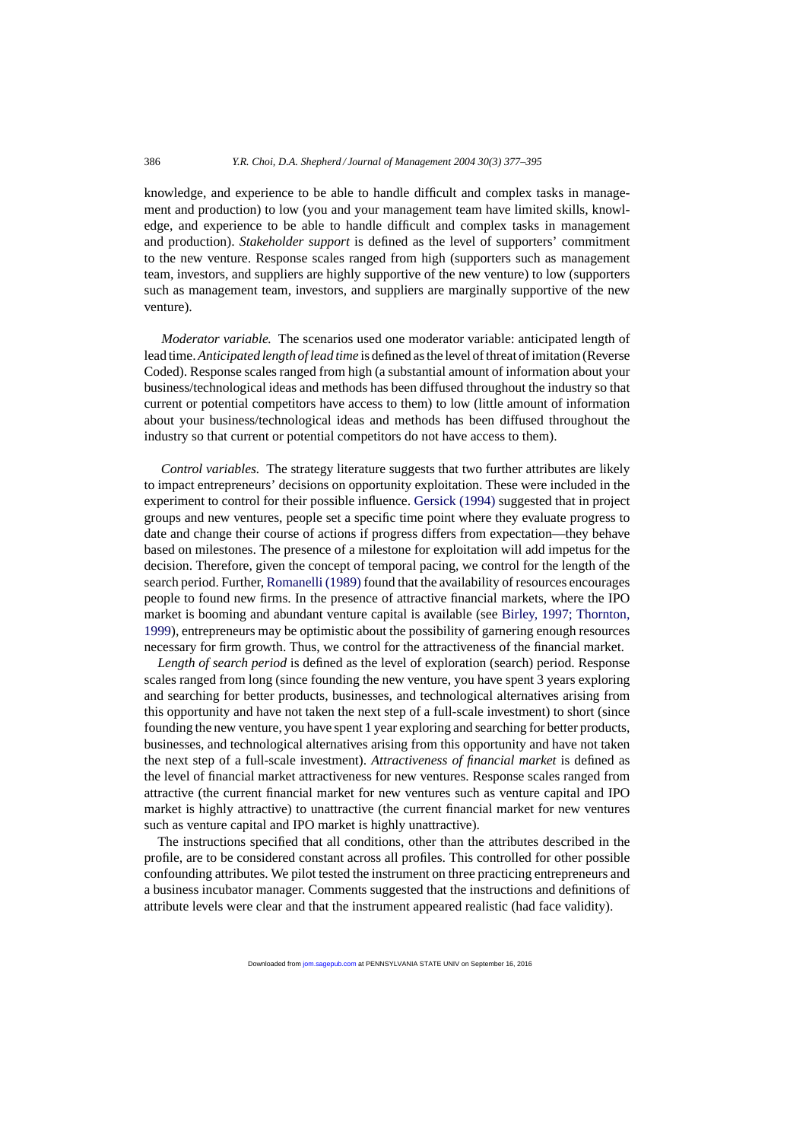knowledge, and experience to be able to handle difficult and complex tasks in management and production) to low (you and your management team have limited skills, knowledge, and experience to be able to handle difficult and complex tasks in management and production). *Stakeholder support* is defined as the level of supporters' commitment to the new venture. Response scales ranged from high (supporters such as management team, investors, and suppliers are highly supportive of the new venture) to low (supporters such as management team, investors, and suppliers are marginally supportive of the new venture).

*Moderator variable.* The scenarios used one moderator variable: anticipated length of lead time.*Anticipated length of lead time* is defined as the level of threat of imitation (Reverse Coded). Response scales ranged from high (a substantial amount of information about your business/technological ideas and methods has been diffused throughout the industry so that current or potential competitors have access to them) to low (little amount of information about your business/technological ideas and methods has been diffused throughout the industry so that current or potential competitors do not have access to them).

*Control variables.* The strategy literature suggests that two further attributes are likely to impact entrepreneurs' decisions on opportunity exploitation. These were included in the experiment to control for their possible influence. [Gersick \(1994\)](#page-16-0) suggested that in project groups and new ventures, people set a specific time point where they evaluate progress to date and change their course of actions if progress differs from expectation—they behave based on milestones. The presence of a milestone for exploitation will add impetus for the decision. Therefore, given the concept of temporal pacing, we control for the length of the search period. Further, [Romanelli \(1989\)](#page-18-0) found that the availability of resources encourages people to found new firms. In the presence of attractive financial markets, where the IPO market is booming and abundant venture capital is available (see [Birley, 1997; Thornton,](#page-15-0) [1999\),](#page-15-0) entrepreneurs may be optimistic about the possibility of garnering enough resources necessary for firm growth. Thus, we control for the attractiveness of the financial market.

*Length of search period* is defined as the level of exploration (search) period. Response scales ranged from long (since founding the new venture, you have spent 3 years exploring and searching for better products, businesses, and technological alternatives arising from this opportunity and have not taken the next step of a full-scale investment) to short (since founding the new venture, you have spent 1 year exploring and searching for better products, businesses, and technological alternatives arising from this opportunity and have not taken the next step of a full-scale investment). *Attractiveness of financial market* is defined as the level of financial market attractiveness for new ventures. Response scales ranged from attractive (the current financial market for new ventures such as venture capital and IPO market is highly attractive) to unattractive (the current financial market for new ventures such as venture capital and IPO market is highly unattractive).

The instructions specified that all conditions, other than the attributes described in the profile, are to be considered constant across all profiles. This controlled for other possible confounding attributes. We pilot tested the instrument on three practicing entrepreneurs and a business incubator manager. Comments suggested that the instructions and definitions of attribute levels were clear and that the instrument appeared realistic (had face validity).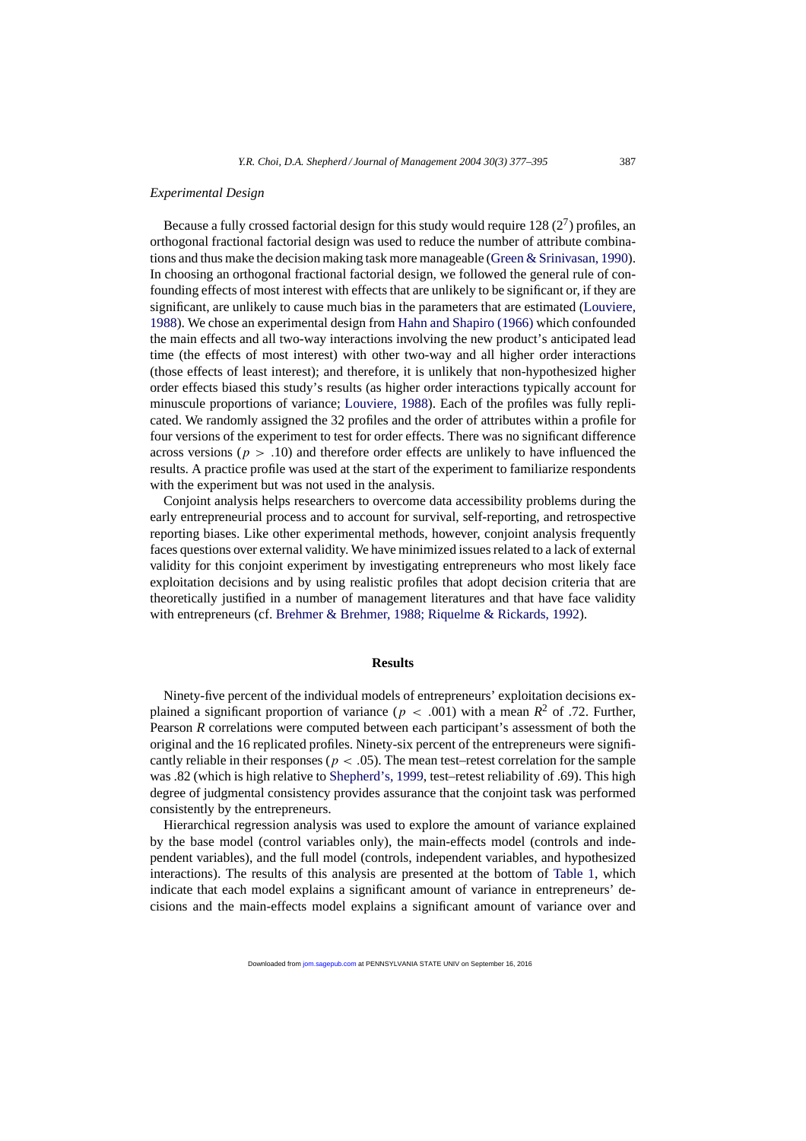# *Experimental Design*

Because a fully crossed factorial design for this study would require 128  $(2^7)$  profiles, an orthogonal fractional factorial design was used to reduce the number of attribute combinations and thus make the decision making task more manageable [\(Green & Srinivasan, 1990\).](#page-16-0) In choosing an orthogonal fractional factorial design, we followed the general rule of confounding effects of most interest with effects that are unlikely to be significant or, if they are significant, are unlikely to cause much bias in the parameters that are estimated ([Louviere,](#page-17-0) [1988\).](#page-17-0) We chose an experimental design from [Hahn and Shapiro \(1966\)](#page-16-0) which confounded the main effects and all two-way interactions involving the new product's anticipated lead time (the effects of most interest) with other two-way and all higher order interactions (those effects of least interest); and therefore, it is unlikely that non-hypothesized higher order effects biased this study's results (as higher order interactions typically account for minuscule proportions of variance; [Louviere, 1988\).](#page-17-0) Each of the profiles was fully replicated. We randomly assigned the 32 profiles and the order of attributes within a profile for four versions of the experiment to test for order effects. There was no significant difference across versions ( $p > .10$ ) and therefore order effects are unlikely to have influenced the results. A practice profile was used at the start of the experiment to familiarize respondents with the experiment but was not used in the analysis.

Conjoint analysis helps researchers to overcome data accessibility problems during the early entrepreneurial process and to account for survival, self-reporting, and retrospective reporting biases. Like other experimental methods, however, conjoint analysis frequently faces questions over external validity. We have minimized issues related to a lack of external validity for this conjoint experiment by investigating entrepreneurs who most likely face exploitation decisions and by using realistic profiles that adopt decision criteria that are theoretically justified in a number of management literatures and that have face validity with entrepreneurs (cf. [Brehmer & Brehmer, 1988; Riquelme & Rickards, 1992\).](#page-15-0)

# **Results**

Ninety-five percent of the individual models of entrepreneurs' exploitation decisions explained a significant proportion of variance ( $p < .001$ ) with a mean  $R^2$  of .72. Further, Pearson *R* correlations were computed between each participant's assessment of both the original and the 16 replicated profiles. Ninety-six percent of the entrepreneurs were significantly reliable in their responses ( $p < .05$ ). The mean test–retest correlation for the sample was .82 (which is high relative to [Shepherd's, 1999, t](#page-18-0)est–retest reliability of .69). This high degree of judgmental consistency provides assurance that the conjoint task was performed consistently by the entrepreneurs.

Hierarchical regression analysis was used to explore the amount of variance explained by the base model (control variables only), the main-effects model (controls and independent variables), and the full model (controls, independent variables, and hypothesized interactions). The results of this analysis are presented at the bottom of [Table 1,](#page-11-0) which indicate that each model explains a significant amount of variance in entrepreneurs' decisions and the main-effects model explains a significant amount of variance over and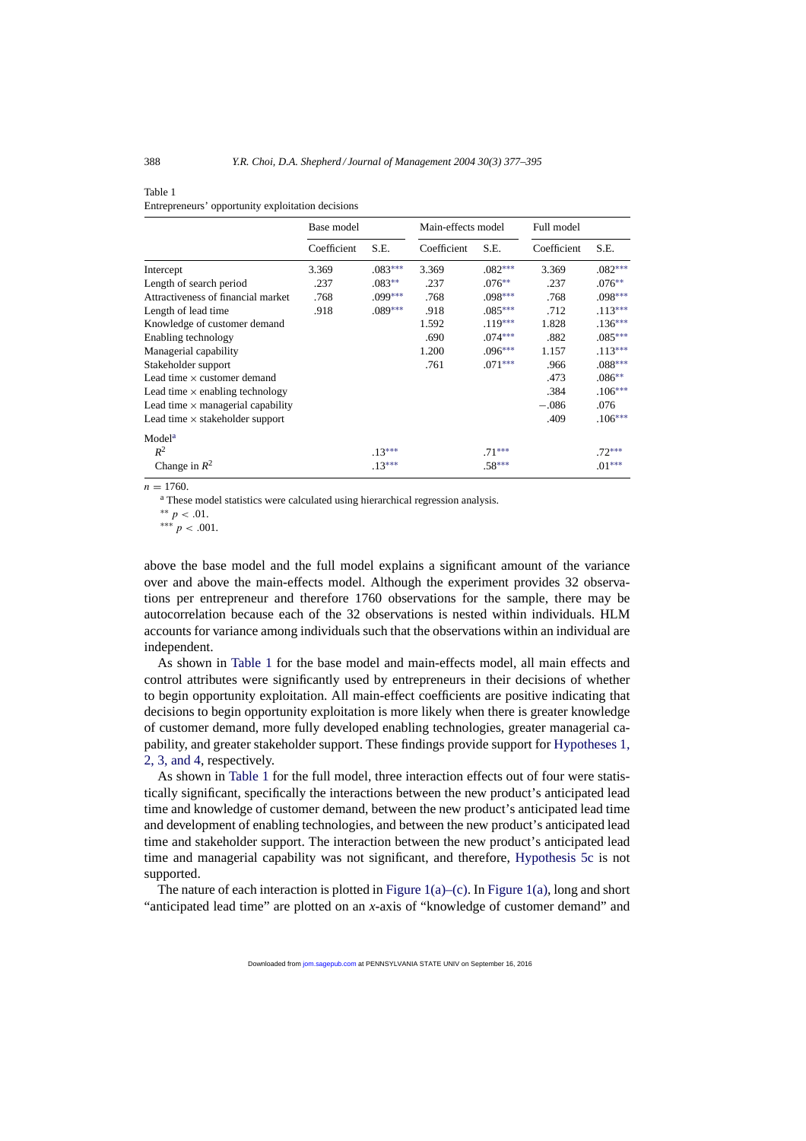|                                          | Base model  |           | Main-effects model |           | Full model  |           |
|------------------------------------------|-------------|-----------|--------------------|-----------|-------------|-----------|
|                                          | Coefficient | S.E.      | Coefficient        | S.E.      | Coefficient | S.E.      |
| Intercept                                | 3.369       | $.083***$ | 3.369              | $.082***$ | 3.369       | $.082***$ |
| Length of search period                  | .237        | $.083**$  | .237               | $.076**$  | .237        | $.076**$  |
| Attractiveness of financial market       | .768        | $.099***$ | .768               | $.098***$ | .768        | $.098***$ |
| Length of lead time                      | .918        | $.089***$ | .918               | $.085***$ | .712        | $.113***$ |
| Knowledge of customer demand             |             |           | 1.592              | $.119***$ | 1.828       | $.136***$ |
| Enabling technology                      |             |           | .690               | $.074***$ | .882        | $.085***$ |
| Managerial capability                    |             |           | 1.200              | $.096***$ | 1.157       | $.113***$ |
| Stakeholder support                      |             |           | .761               | $.071***$ | .966        | $.088***$ |
| Lead time $\times$ customer demand       |             |           |                    |           | .473        | $.086**$  |
| Lead time $\times$ enabling technology   |             |           |                    |           | .384        | $.106***$ |
| Lead time $\times$ managerial capability |             |           |                    |           | $-.086$     | .076      |
| Lead time $\times$ stakeholder support   |             |           |                    |           | .409        | $.106***$ |
| Model <sup>a</sup>                       |             |           |                    |           |             |           |
| $R^2$                                    |             | $.13***$  |                    | $.71***$  |             | $.72***$  |
| Change in $R^2$                          |             | $.13***$  |                    | $.58***$  |             | $.01***$  |

#### <span id="page-11-0"></span>Table 1 Entrepreneurs' opportunity exploitation decisions

 $n = 1760.$ 

<sup>a</sup> These model statistics were calculated using hierarchical regression analysis.

∗∗∗ p<.001.

above the base model and the full model explains a significant amount of the variance over and above the main-effects model. Although the experiment provides 32 observations per entrepreneur and therefore 1760 observations for the sample, there may be autocorrelation because each of the 32 observations is nested within individuals. HLM accounts for variance among individuals such that the observations within an individual are independent.

As shown in Table 1 for the base model and main-effects model, all main effects and control attributes were significantly used by entrepreneurs in their decisions of whether to begin opportunity exploitation. All main-effect coefficients are positive indicating that decisions to begin opportunity exploitation is more likely when there is greater knowledge of customer demand, more fully developed enabling technologies, greater managerial capability, and greater stakeholder support. These findings provide support for [Hypotheses 1,](#page-3-0) [2, 3, and 4,](#page-3-0) respectively.

As shown in Table 1 for the full model, three interaction effects out of four were statistically significant, specifically the interactions between the new product's anticipated lead time and knowledge of customer demand, between the new product's anticipated lead time and development of enabling technologies, and between the new product's anticipated lead time and stakeholder support. The interaction between the new product's anticipated lead time and managerial capability was not significant, and therefore, [Hypothesis 5c](#page-6-0) is not supported.

The nature of each interaction is plotted in Figure  $1(a)$ –(c). In Figure  $1(a)$ , long and short "anticipated lead time" are plotted on an *x*-axis of "knowledge of customer demand" and

 $*$  *p* < .01.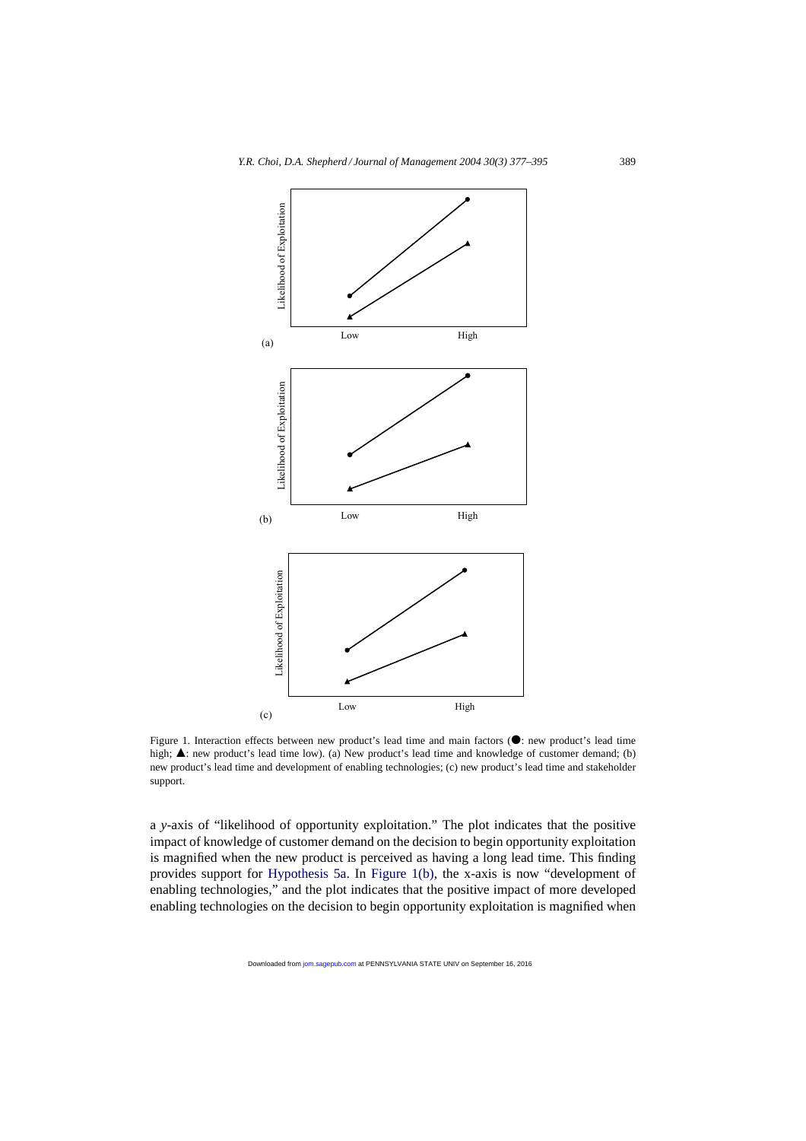<span id="page-12-0"></span>

Figure 1. Interaction effects between new product's lead time and main factors ( $\bullet$ : new product's lead time high;  $\triangle$ : new product's lead time low). (a) New product's lead time and knowledge of customer demand; (b) new product's lead time and development of enabling technologies; (c) new product's lead time and stakeholder support.

a *y*-axis of "likelihood of opportunity exploitation." The plot indicates that the positive impact of knowledge of customer demand on the decision to begin opportunity exploitation is magnified when the new product is perceived as having a long lead time. This finding provides support for [Hypothesis 5a.](#page-6-0) In Figure 1(b), the x-axis is now "development of enabling technologies," and the plot indicates that the positive impact of more developed enabling technologies on the decision to begin opportunity exploitation is magnified when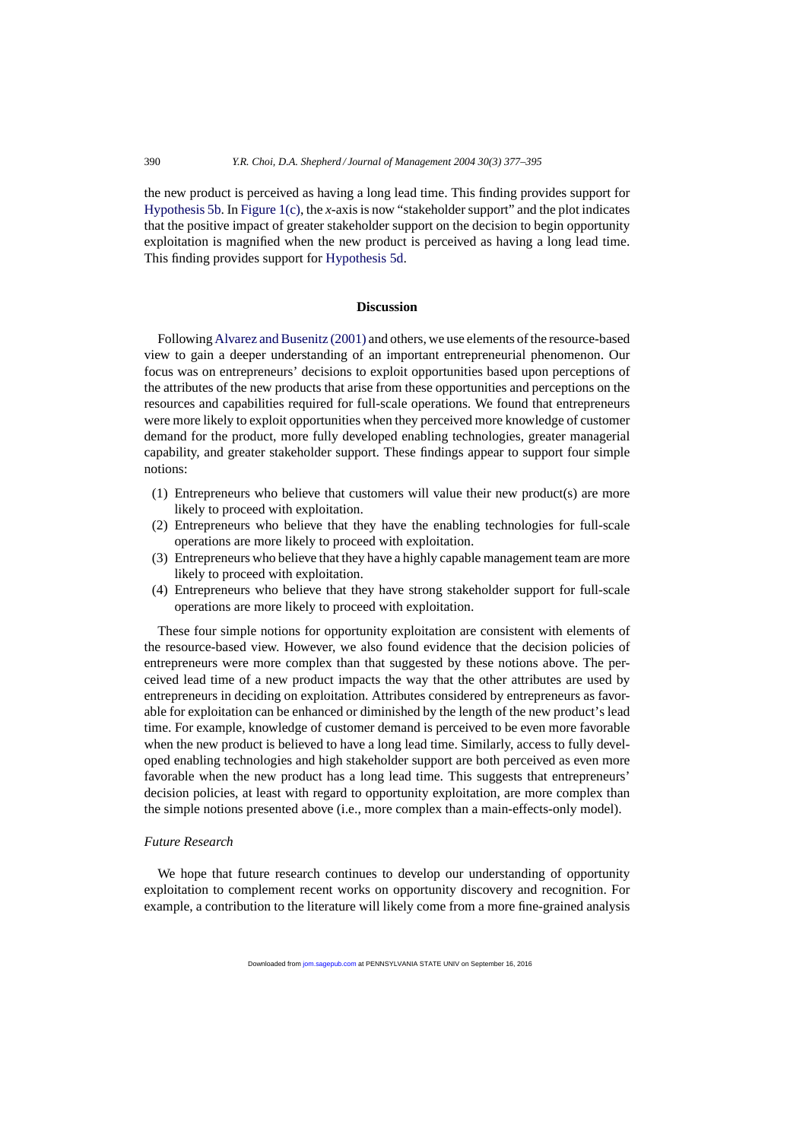the new product is perceived as having a long lead time. This finding provides support for [Hypothesis 5b. I](#page-6-0)n [Figure 1\(c\), t](#page-12-0)he *x*-axis is now "stakeholder support" and the plot indicates that the positive impact of greater stakeholder support on the decision to begin opportunity exploitation is magnified when the new product is perceived as having a long lead time. This finding provides support for [Hypothesis 5d.](#page-6-0)

## **Discussion**

Following [Alvarez and Busenitz \(2001\)](#page-15-0) and others, we use elements of the resource-based view to gain a deeper understanding of an important entrepreneurial phenomenon. Our focus was on entrepreneurs' decisions to exploit opportunities based upon perceptions of the attributes of the new products that arise from these opportunities and perceptions on the resources and capabilities required for full-scale operations. We found that entrepreneurs were more likely to exploit opportunities when they perceived more knowledge of customer demand for the product, more fully developed enabling technologies, greater managerial capability, and greater stakeholder support. These findings appear to support four simple notions:

- (1) Entrepreneurs who believe that customers will value their new product(s) are more likely to proceed with exploitation.
- (2) Entrepreneurs who believe that they have the enabling technologies for full-scale operations are more likely to proceed with exploitation.
- (3) Entrepreneurs who believe that they have a highly capable management team are more likely to proceed with exploitation.
- (4) Entrepreneurs who believe that they have strong stakeholder support for full-scale operations are more likely to proceed with exploitation.

These four simple notions for opportunity exploitation are consistent with elements of the resource-based view. However, we also found evidence that the decision policies of entrepreneurs were more complex than that suggested by these notions above. The perceived lead time of a new product impacts the way that the other attributes are used by entrepreneurs in deciding on exploitation. Attributes considered by entrepreneurs as favorable for exploitation can be enhanced or diminished by the length of the new product's lead time. For example, knowledge of customer demand is perceived to be even more favorable when the new product is believed to have a long lead time. Similarly, access to fully developed enabling technologies and high stakeholder support are both perceived as even more favorable when the new product has a long lead time. This suggests that entrepreneurs' decision policies, at least with regard to opportunity exploitation, are more complex than the simple notions presented above (i.e., more complex than a main-effects-only model).

# *Future Research*

We hope that future research continues to develop our understanding of opportunity exploitation to complement recent works on opportunity discovery and recognition. For example, a contribution to the literature will likely come from a more fine-grained analysis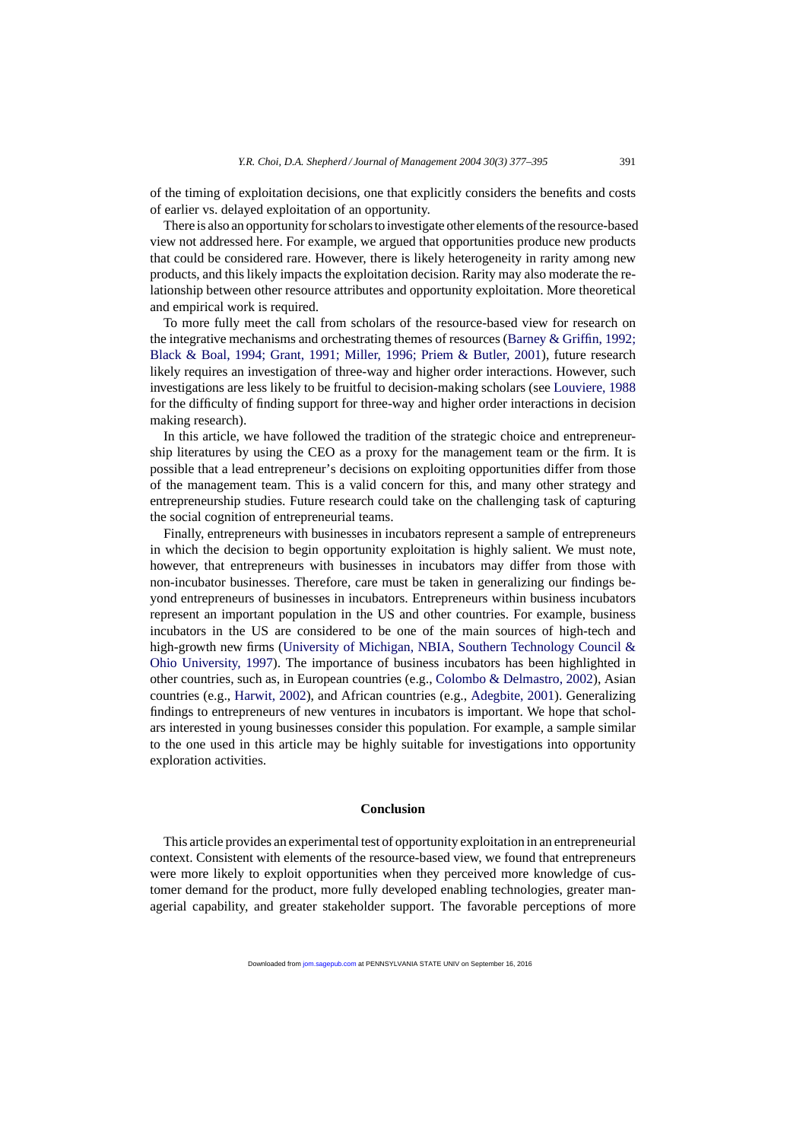of the timing of exploitation decisions, one that explicitly considers the benefits and costs of earlier vs. delayed exploitation of an opportunity.

There is also an opportunity for scholars to investigate other elements of the resource-based view not addressed here. For example, we argued that opportunities produce new products that could be considered rare. However, there is likely heterogeneity in rarity among new products, and this likely impacts the exploitation decision. Rarity may also moderate the relationship between other resource attributes and opportunity exploitation. More theoretical and empirical work is required.

To more fully meet the call from scholars of the resource-based view for research on the integrative mechanisms and orchestrating themes of resources ([Barney & Griffin, 1992;](#page-15-0) [Black & Boal, 1994; Grant, 1991; Miller, 1996; Priem & Butler, 200](#page-15-0)1), future research likely requires an investigation of three-way and higher order interactions. However, such investigations are less likely to be fruitful to decision-making scholars (see [Louviere, 1988](#page-17-0) for the difficulty of finding support for three-way and higher order interactions in decision making research).

In this article, we have followed the tradition of the strategic choice and entrepreneurship literatures by using the CEO as a proxy for the management team or the firm. It is possible that a lead entrepreneur's decisions on exploiting opportunities differ from those of the management team. This is a valid concern for this, and many other strategy and entrepreneurship studies. Future research could take on the challenging task of capturing the social cognition of entrepreneurial teams.

Finally, entrepreneurs with businesses in incubators represent a sample of entrepreneurs in which the decision to begin opportunity exploitation is highly salient. We must note, however, that entrepreneurs with businesses in incubators may differ from those with non-incubator businesses. Therefore, care must be taken in generalizing our findings beyond entrepreneurs of businesses in incubators. Entrepreneurs within business incubators represent an important population in the US and other countries. For example, business incubators in the US are considered to be one of the main sources of high-tech and high-growth new firms ([University of Michigan, NBIA, Southern Technology Council &](#page-18-0) [Ohio University, 1997\)](#page-18-0). The importance of business incubators has been highlighted in other countries, such as, in European countries (e.g., [Colombo & Delmastro, 2002\),](#page-16-0) Asian countries (e.g., [Harwit, 2002\),](#page-16-0) and African countries (e.g., [Adegbite, 2001\).](#page-15-0) Generalizing findings to entrepreneurs of new ventures in incubators is important. We hope that scholars interested in young businesses consider this population. For example, a sample similar to the one used in this article may be highly suitable for investigations into opportunity exploration activities.

#### **Conclusion**

This article provides an experimental test of opportunity exploitation in an entrepreneurial context. Consistent with elements of the resource-based view, we found that entrepreneurs were more likely to exploit opportunities when they perceived more knowledge of customer demand for the product, more fully developed enabling technologies, greater managerial capability, and greater stakeholder support. The favorable perceptions of more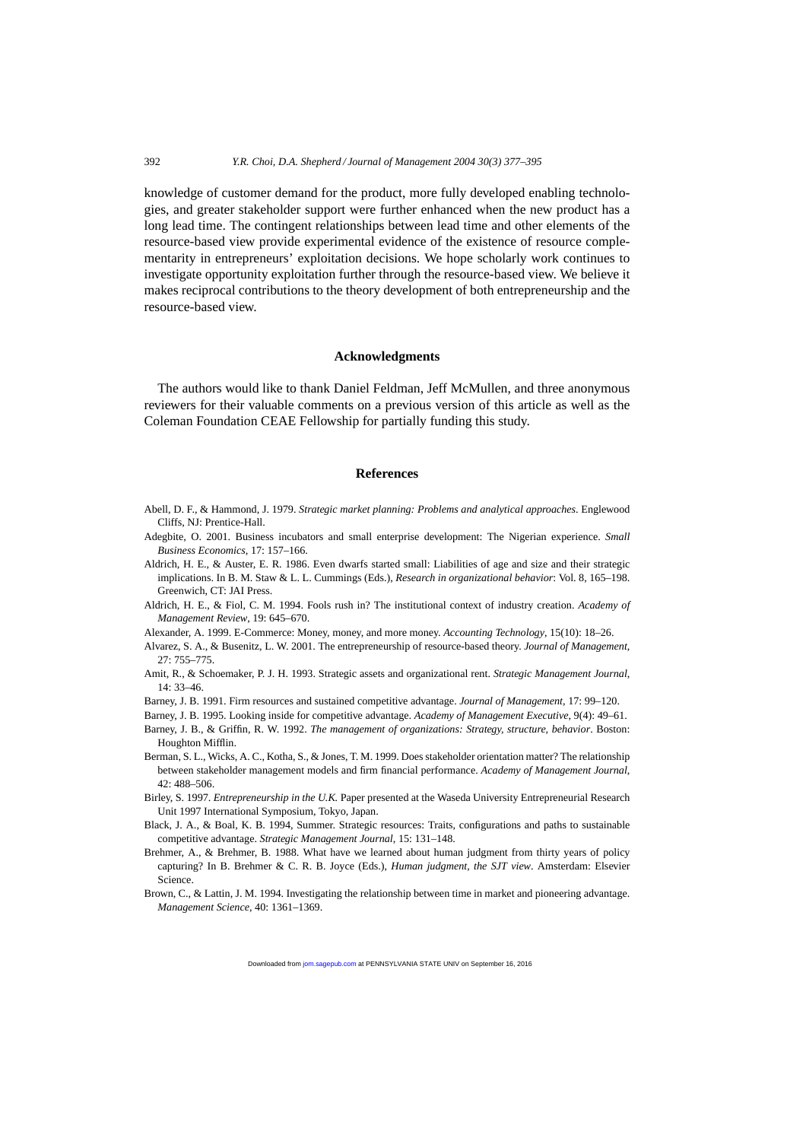<span id="page-15-0"></span>knowledge of customer demand for the product, more fully developed enabling technologies, and greater stakeholder support were further enhanced when the new product has a long lead time. The contingent relationships between lead time and other elements of the resource-based view provide experimental evidence of the existence of resource complementarity in entrepreneurs' exploitation decisions. We hope scholarly work continues to investigate opportunity exploitation further through the resource-based view. We believe it makes reciprocal contributions to the theory development of both entrepreneurship and the resource-based view.

#### **Acknowledgments**

The authors would like to thank Daniel Feldman, Jeff McMullen, and three anonymous reviewers for their valuable comments on a previous version of this article as well as the Coleman Foundation CEAE Fellowship for partially funding this study.

### **References**

- Abell, D. F., & Hammond, J. 1979. *Strategic market planning: Problems and analytical approaches*. Englewood Cliffs, NJ: Prentice-Hall.
- Adegbite, O. 2001. Business incubators and small enterprise development: The Nigerian experience. *Small Business Economics*, 17: 157–166.
- Aldrich, H. E., & Auster, E. R. 1986. Even dwarfs started small: Liabilities of age and size and their strategic implications. In B. M. Staw & L. L. Cummings (Eds.), *Research in organizational behavior*: Vol. 8, 165–198. Greenwich, CT: JAI Press.
- Aldrich, H. E., & Fiol, C. M. 1994. Fools rush in? The institutional context of industry creation. *Academy of Management Review*, 19: 645–670.
- Alexander, A. 1999. E-Commerce: Money, money, and more money. *Accounting Technology*, 15(10): 18–26.
- Alvarez, S. A., & Busenitz, L. W. 2001. The entrepreneurship of resource-based theory. *Journal of Management*, 27: 755–775.
- Amit, R., & Schoemaker, P. J. H. 1993. Strategic assets and organizational rent. *Strategic Management Journal*, 14: 33–46.
- Barney, J. B. 1991. Firm resources and sustained competitive advantage. *Journal of Management*, 17: 99–120.
- Barney, J. B. 1995. Looking inside for competitive advantage. *Academy of Management Executive*, 9(4): 49–61.
- Barney, J. B., & Griffin, R. W. 1992. *The management of organizations: Strategy, structure, behavior*. Boston: Houghton Mifflin.
- Berman, S. L., Wicks, A. C., Kotha, S., & Jones, T. M. 1999. Does stakeholder orientation matter? The relationship between stakeholder management models and firm financial performance. *Academy of Management Journal*, 42: 488–506.
- Birley, S. 1997. *Entrepreneurship in the U.K.* Paper presented at the Waseda University Entrepreneurial Research Unit 1997 International Symposium, Tokyo, Japan.
- Black, J. A., & Boal, K. B. 1994, Summer. Strategic resources: Traits, configurations and paths to sustainable competitive advantage. *Strategic Management Journal*, 15: 131–148.
- Brehmer, A., & Brehmer, B. 1988. What have we learned about human judgment from thirty years of policy capturing? In B. Brehmer & C. R. B. Joyce (Eds.), *Human judgment, the SJT view*. Amsterdam: Elsevier Science.
- Brown, C., & Lattin, J. M. 1994. Investigating the relationship between time in market and pioneering advantage. *Management Science*, 40: 1361–1369.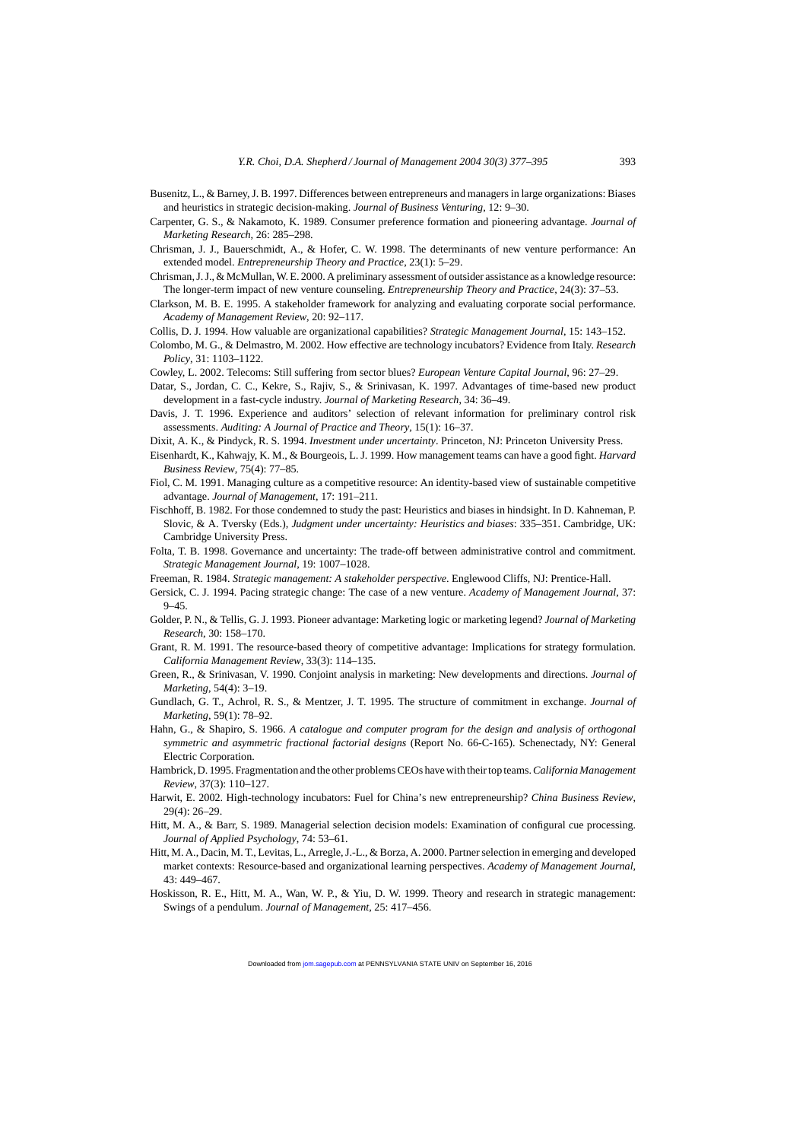- <span id="page-16-0"></span>Busenitz, L., & Barney, J. B. 1997. Differences between entrepreneurs and managers in large organizations: Biases and heuristics in strategic decision-making. *Journal of Business Venturing*, 12: 9–30.
- Carpenter, G. S., & Nakamoto, K. 1989. Consumer preference formation and pioneering advantage. *Journal of Marketing Research*, 26: 285–298.
- Chrisman, J. J., Bauerschmidt, A., & Hofer, C. W. 1998. The determinants of new venture performance: An extended model. *Entrepreneurship Theory and Practice*, 23(1): 5–29.
- Chrisman, J. J., & McMullan, W. E. 2000. A preliminary assessment of outsider assistance as a knowledge resource: The longer-term impact of new venture counseling. *Entrepreneurship Theory and Practice*, 24(3): 37–53.
- Clarkson, M. B. E. 1995. A stakeholder framework for analyzing and evaluating corporate social performance. *Academy of Management Review*, 20: 92–117.
- Collis, D. J. 1994. How valuable are organizational capabilities? *Strategic Management Journal*, 15: 143–152.
- Colombo, M. G., & Delmastro, M. 2002. How effective are technology incubators? Evidence from Italy. *Research Policy*, 31: 1103–1122.
- Cowley, L. 2002. Telecoms: Still suffering from sector blues? *European Venture Capital Journal*, 96: 27–29.
- Datar, S., Jordan, C. C., Kekre, S., Rajiv, S., & Srinivasan, K. 1997. Advantages of time-based new product development in a fast-cycle industry. *Journal of Marketing Research*, 34: 36–49.
- Davis, J. T. 1996. Experience and auditors' selection of relevant information for preliminary control risk assessments. *Auditing: A Journal of Practice and Theory*, 15(1): 16–37.
- Dixit, A. K., & Pindyck, R. S. 1994. *Investment under uncertainty*. Princeton, NJ: Princeton University Press.
- Eisenhardt, K., Kahwajy, K. M., & Bourgeois, L. J. 1999. How management teams can have a good fight. *Harvard Business Review*, 75(4): 77–85.
- Fiol, C. M. 1991. Managing culture as a competitive resource: An identity-based view of sustainable competitive advantage. *Journal of Management*, 17: 191–211.
- Fischhoff, B. 1982. For those condemned to study the past: Heuristics and biases in hindsight. In D. Kahneman, P. Slovic, & A. Tversky (Eds.), *Judgment under uncertainty: Heuristics and biases*: 335–351. Cambridge, UK: Cambridge University Press.
- Folta, T. B. 1998. Governance and uncertainty: The trade-off between administrative control and commitment. *Strategic Management Journal*, 19: 1007–1028.
- Freeman, R. 1984. *Strategic management: A stakeholder perspective*. Englewood Cliffs, NJ: Prentice-Hall.
- Gersick, C. J. 1994. Pacing strategic change: The case of a new venture. *Academy of Management Journal*, 37: 9–45.
- Golder, P. N., & Tellis, G. J. 1993. Pioneer advantage: Marketing logic or marketing legend? *Journal of Marketing Research*, 30: 158–170.
- Grant, R. M. 1991. The resource-based theory of competitive advantage: Implications for strategy formulation. *California Management Review*, 33(3): 114–135.
- Green, R., & Srinivasan, V. 1990. Conjoint analysis in marketing: New developments and directions. *Journal of Marketing*, 54(4): 3–19.
- Gundlach, G. T., Achrol, R. S., & Mentzer, J. T. 1995. The structure of commitment in exchange. *Journal of Marketing*, 59(1): 78–92.
- Hahn, G., & Shapiro, S. 1966. *A catalogue and computer program for the design and analysis of orthogonal symmetric and asymmetric fractional factorial designs* (Report No. 66-C-165). Schenectady, NY: General Electric Corporation.
- Hambrick, D. 1995. Fragmentation and the other problems CEOs have with their top teams.*California Management Review*, 37(3): 110–127.
- Harwit, E. 2002. High-technology incubators: Fuel for China's new entrepreneurship? *China Business Review*, 29(4): 26–29.
- Hitt, M. A., & Barr, S. 1989. Managerial selection decision models: Examination of configural cue processing. *Journal of Applied Psychology*, 74: 53–61.
- Hitt, M. A., Dacin, M. T., Levitas, L., Arregle, J.-L., & Borza, A. 2000. Partner selection in emerging and developed market contexts: Resource-based and organizational learning perspectives. *Academy of Management Journal*, 43: 449–467.
- Hoskisson, R. E., Hitt, M. A., Wan, W. P., & Yiu, D. W. 1999. Theory and research in strategic management: Swings of a pendulum. *Journal of Management*, 25: 417–456.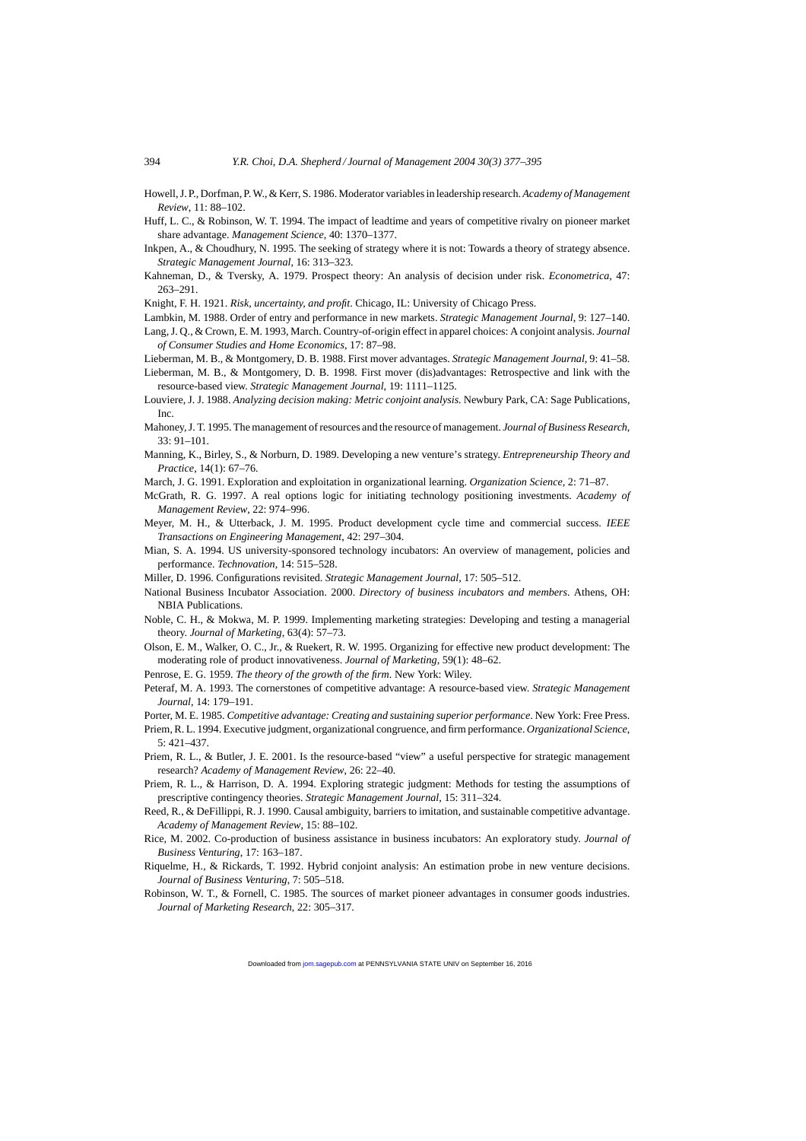- <span id="page-17-0"></span>Howell, J. P., Dorfman, P. W., & Kerr, S. 1986. Moderator variables in leadership research.*Academy of Management Review*, 11: 88–102.
- Huff, L. C., & Robinson, W. T. 1994. The impact of leadtime and years of competitive rivalry on pioneer market share advantage. *Management Science*, 40: 1370–1377.
- Inkpen, A., & Choudhury, N. 1995. The seeking of strategy where it is not: Towards a theory of strategy absence. *Strategic Management Journal*, 16: 313–323.
- Kahneman, D., & Tversky, A. 1979. Prospect theory: An analysis of decision under risk. *Econometrica*, 47: 263–291.
- Knight, F. H. 1921. *Risk, uncertainty, and profit*. Chicago, IL: University of Chicago Press.
- Lambkin, M. 1988. Order of entry and performance in new markets. *Strategic Management Journal*, 9: 127–140.
- Lang, J. Q., & Crown, E. M. 1993, March. Country-of-origin effect in apparel choices: A conjoint analysis. *Journal of Consumer Studies and Home Economics*, 17: 87–98.
- Lieberman, M. B., & Montgomery, D. B. 1988. First mover advantages. *Strategic Management Journal*, 9: 41–58.
- Lieberman, M. B., & Montgomery, D. B. 1998. First mover (dis)advantages: Retrospective and link with the resource-based view. *Strategic Management Journal*, 19: 1111–1125.
- Louviere, J. J. 1988. *Analyzing decision making: Metric conjoint analysis.* Newbury Park, CA: Sage Publications, Inc.
- Mahoney, J. T. 1995. The management of resources and the resource of management. *Journal of Business Research*, 33: 91–101.
- Manning, K., Birley, S., & Norburn, D. 1989. Developing a new venture's strategy. *Entrepreneurship Theory and Practice*, 14(1): 67–76.
- March, J. G. 1991. Exploration and exploitation in organizational learning. *Organization Science*, 2: 71–87.
- McGrath, R. G. 1997. A real options logic for initiating technology positioning investments. *Academy of Management Review*, 22: 974–996.
- Meyer, M. H., & Utterback, J. M. 1995. Product development cycle time and commercial success. *IEEE Transactions on Engineering Management*, 42: 297–304.
- Mian, S. A. 1994. US university-sponsored technology incubators: An overview of management, policies and performance. *Technovation*, 14: 515–528.
- Miller, D. 1996. Configurations revisited. *Strategic Management Journal*, 17: 505–512.
- National Business Incubator Association. 2000. *Directory of business incubators and members*. Athens, OH: NBIA Publications.
- Noble, C. H., & Mokwa, M. P. 1999. Implementing marketing strategies: Developing and testing a managerial theory. *Journal of Marketing*, 63(4): 57–73.
- Olson, E. M., Walker, O. C., Jr., & Ruekert, R. W. 1995. Organizing for effective new product development: The moderating role of product innovativeness. *Journal of Marketing*, 59(1): 48–62.
- Penrose, E. G. 1959. *The theory of the growth of the firm*. New York: Wiley.
- Peteraf, M. A. 1993. The cornerstones of competitive advantage: A resource-based view. *Strategic Management Journal*, 14: 179–191.
- Porter, M. E. 1985. *Competitive advantage: Creating and sustaining superior performance*. New York: Free Press.
- Priem, R. L. 1994. Executive judgment, organizational congruence, and firm performance. *Organizational Science*, 5: 421–437.
- Priem, R. L., & Butler, J. E. 2001. Is the resource-based "view" a useful perspective for strategic management research? *Academy of Management Review*, 26: 22–40.
- Priem, R. L., & Harrison, D. A. 1994. Exploring strategic judgment: Methods for testing the assumptions of prescriptive contingency theories. *Strategic Management Journal*, 15: 311–324.
- Reed, R., & DeFillippi, R. J. 1990. Causal ambiguity, barriers to imitation, and sustainable competitive advantage. *Academy of Management Review*, 15: 88–102.
- Rice, M. 2002. Co-production of business assistance in business incubators: An exploratory study. *Journal of Business Venturing*, 17: 163–187.
- Riquelme, H., & Rickards, T. 1992. Hybrid conjoint analysis: An estimation probe in new venture decisions. *Journal of Business Venturing*, 7: 505–518.
- Robinson, W. T., & Fornell, C. 1985. The sources of market pioneer advantages in consumer goods industries. *Journal of Marketing Research*, 22: 305–317.